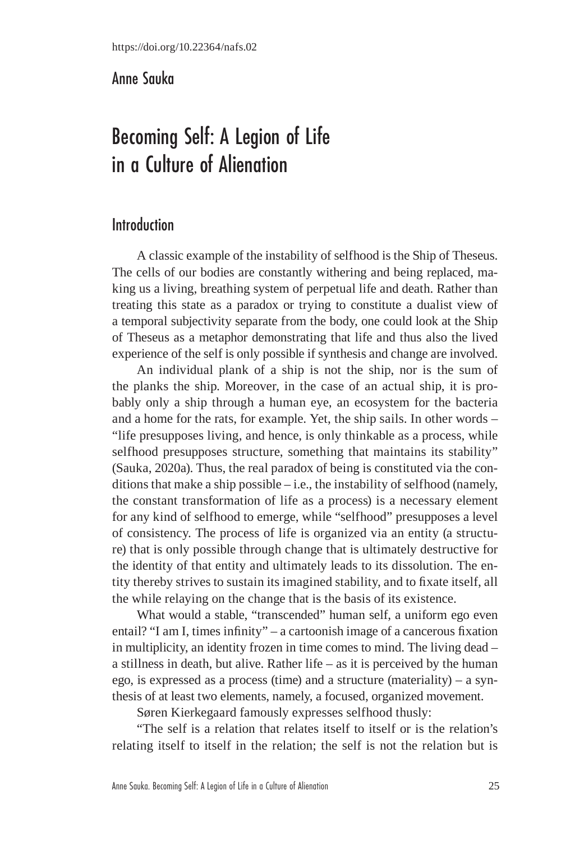## Anne Sauka

# Becoming Self: A Legion of Life in a Culture of Alienation

# Introduction

A classic example of the instability of selfhood is the Ship of Theseus. The cells of our bodies are constantly withering and being replaced, making us a living, breathing system of perpetual life and death. Rather than treating this state as a paradox or trying to constitute a dualist view of a temporal subjectivity separate from the body, one could look at the Ship of Theseus as a metaphor demonstrating that life and thus also the lived experience of the self is only possible if synthesis and change are involved.

An individual plank of a ship is not the ship, nor is the sum of the planks the ship. Moreover, in the case of an actual ship, it is probably only a ship through a human eye, an ecosystem for the bacteria and a home for the rats, for example. Yet, the ship sails. In other words – "life presupposes living, and hence, is only thinkable as a process, while selfhood presupposes structure, something that maintains its stability" (Sauka, 2020a). Thus, the real paradox of being is constituted via the conditions that make a ship possible – i.e., the instability of selfhood (namely, the constant transformation of life as a process) is a necessary element for any kind of selfhood to emerge, while "selfhood" presupposes a level of consistency. The process of life is organized via an entity (a structure) that is only possible through change that is ultimately destructive for the identity of that entity and ultimately leads to its dissolution. The entity thereby strives to sustain its imagined stability, and to fixate itself, all the while relaying on the change that is the basis of its existence.

What would a stable, "transcended" human self, a uniform ego even entail? "I am I, times infinity" – a cartoonish image of a cancerous fixation in multiplicity, an identity frozen in time comes to mind. The living dead – a stillness in death, but alive. Rather life – as it is perceived by the human ego, is expressed as a process (time) and a structure (materiality) – a synthesis of at least two elements, namely, a focused, organized movement.

Søren Kierkegaard famously expresses selfhood thusly:

"The self is a relation that relates itself to itself or is the relation's relating itself to itself in the relation; the self is not the relation but is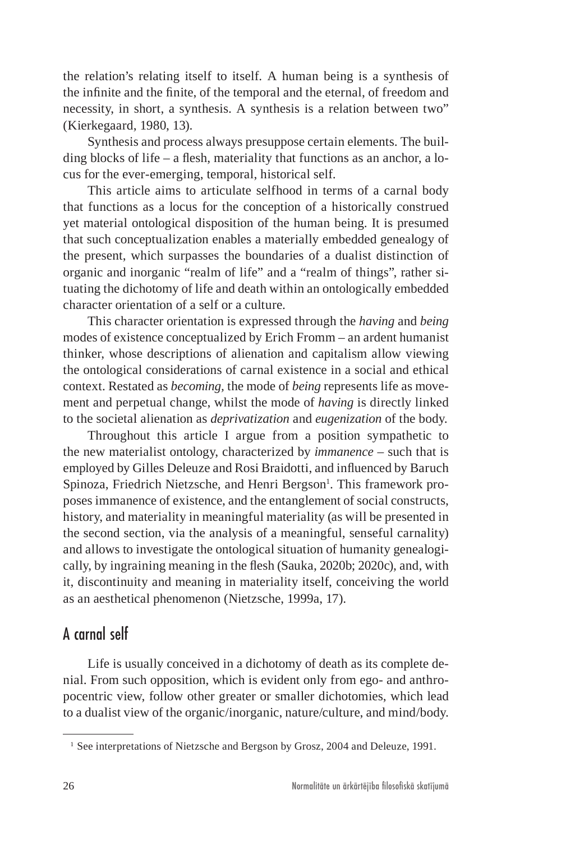the relation's relating itself to itself. A human being is a synthesis of the infinite and the finite, of the temporal and the eternal, of freedom and necessity, in short, a synthesis. A synthesis is a relation between two" (Kierkegaard, 1980, 13).

Synthesis and process always presuppose certain elements. The building blocks of life – a flesh, materiality that functions as an anchor, a locus for the ever-emerging, temporal, historical self.

This article aims to articulate selfhood in terms of a carnal body that functions as a locus for the conception of a historically construed yet material ontological disposition of the human being. It is presumed that such conceptualization enables a materially embedded genealogy of the present, which surpasses the boundaries of a dualist distinction of organic and inorganic "realm of life" and a "realm of things", rather situating the dichotomy of life and death within an ontologically embedded character orientation of a self or a culture.

This character orientation is expressed through the *having* and *being* modes of existence conceptualized by Erich Fromm – an ardent humanist thinker, whose descriptions of alienation and capitalism allow viewing the ontological considerations of carnal existence in a social and ethical context. Restated as *becoming,* the mode of *being* represents life as movement and perpetual change, whilst the mode of *having* is directly linked to the societal alienation as *deprivatization* and *eugenization* of the body.

Throughout this article I argue from a position sympathetic to the new materialist ontology, characterized by *immanence –* such that is employed by Gilles Deleuze and Rosi Braidotti, and influenced by Baruch Spinoza, Friedrich Nietzsche, and Henri Bergson<sup>1</sup>. This framework proposes immanence of existence, and the entanglement of social constructs, history, and materiality in meaningful materiality (as will be presented in the second section, via the analysis of a meaningful, senseful carnality) and allows to investigate the ontological situation of humanity genealogically, by ingraining meaning in the flesh (Sauka, 2020b; 2020c), and, with it, discontinuity and meaning in materiality itself, conceiving the world as an aesthetical phenomenon (Nietzsche, 1999a, 17).

### A carnal self

Life is usually conceived in a dichotomy of death as its complete denial. From such opposition, which is evident only from ego- and anthropocentric view, follow other greater or smaller dichotomies, which lead to a dualist view of the organic/inorganic, nature/culture, and mind/body.

<sup>&</sup>lt;sup>1</sup> See interpretations of Nietzsche and Bergson by Grosz, 2004 and Deleuze, 1991.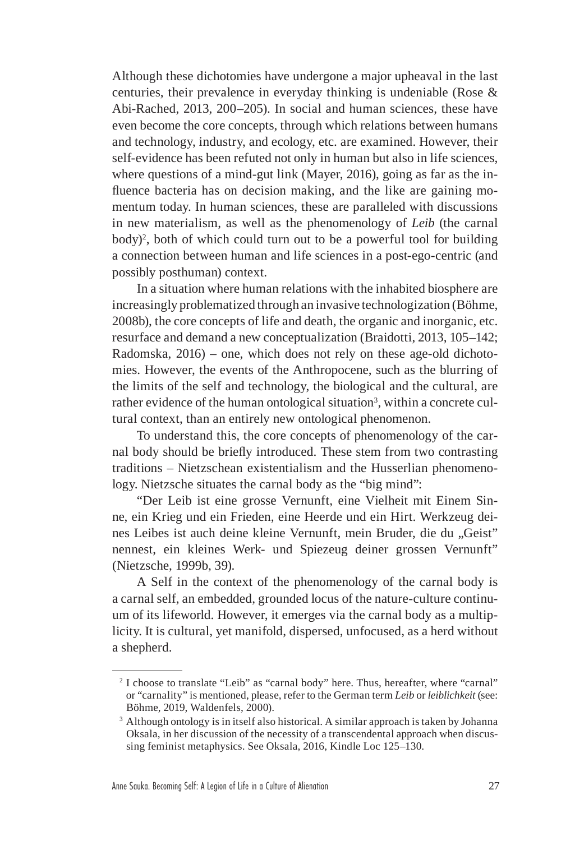Although these dichotomies have undergone a major upheaval in the last centuries, their prevalence in everyday thinking is undeniable (Rose & Abi-Rached, 2013, 200–205). In social and human sciences, these have even become the core concepts, through which relations between humans and technology, industry, and ecology, etc. are examined. However, their self-evidence has been refuted not only in human but also in life sciences, where questions of a mind-gut link (Mayer, 2016), going as far as the influence bacteria has on decision making, and the like are gaining momentum today. In human sciences, these are paralleled with discussions in new materialism, as well as the phenomenology of *Leib* (the carnal body)<sup>2</sup> , both of which could turn out to be a powerful tool for building a connection between human and life sciences in a post-ego-centric (and possibly posthuman) context.

In a situation where human relations with the inhabited biosphere are increasingly problematized through an invasive technologization (Böhme, 2008b), the core concepts of life and death, the organic and inorganic, etc. resurface and demand a new conceptualization (Braidotti, 2013, 105–142; Radomska, 2016) – one, which does not rely on these age-old dichotomies. However, the events of the Anthropocene, such as the blurring of the limits of the self and technology, the biological and the cultural, are rather evidence of the human ontological situation<sup>3</sup>, within a concrete cultural context, than an entirely new ontological phenomenon.

To understand this, the core concepts of phenomenology of the carnal body should be briefly introduced. These stem from two contrasting traditions – Nietzschean existentialism and the Husserlian phenomenology. Nietzsche situates the carnal body as the "big mind":

"Der Leib ist eine grosse Vernunft, eine Vielheit mit Einem Sinne, ein Krieg und ein Frieden, eine Heerde und ein Hirt. Werkzeug deines Leibes ist auch deine kleine Vernunft, mein Bruder, die du "Geist" nennest, ein kleines Werk- und Spiezeug deiner grossen Vernunft" (Nietzsche, 1999b, 39).

A Self in the context of the phenomenology of the carnal body is a carnal self, an embedded, grounded locus of the nature-culture continuum of its lifeworld. However, it emerges via the carnal body as a multiplicity. It is cultural, yet manifold, dispersed, unfocused, as a herd without a shepherd.

<sup>&</sup>lt;sup>2</sup> I choose to translate "Leib" as "carnal body" here. Thus, hereafter, where "carnal" or "carnality" is mentioned, please, refer to the German term *Leib* or *leiblichkeit* (see: Böhme, 2019, Waldenfels, 2000).

<sup>&</sup>lt;sup>3</sup> Although ontology is in itself also historical. A similar approach is taken by Johanna Oksala, in her discussion of the necessity of a transcendental approach when discussing feminist metaphysics. See Oksala, 2016, Kindle Loc 125–130.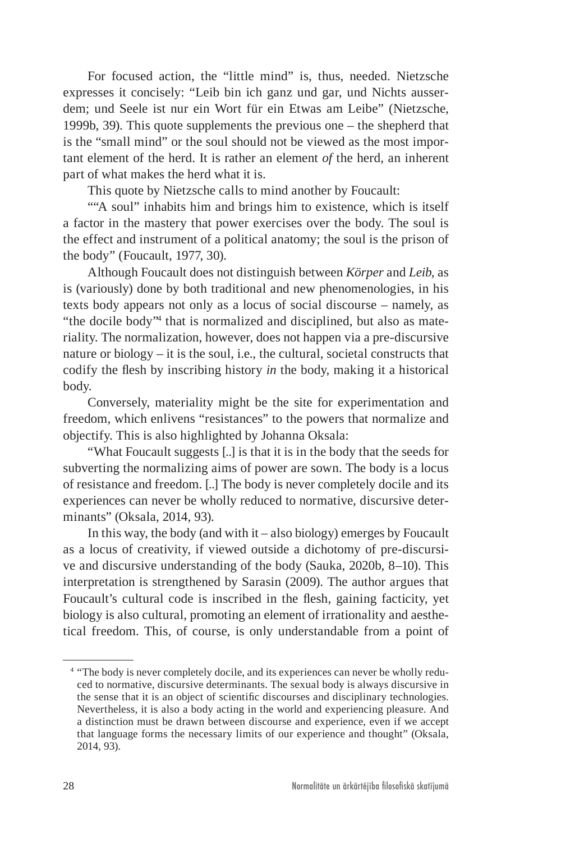For focused action, the "little mind" is, thus, needed. Nietzsche expresses it concisely: "Leib bin ich ganz und gar, und Nichts ausserdem; und Seele ist nur ein Wort für ein Etwas am Leibe" (Nietzsche, 1999b, 39). This quote supplements the previous one – the shepherd that is the "small mind" or the soul should not be viewed as the most important element of the herd. It is rather an element *of* the herd, an inherent part of what makes the herd what it is.

This quote by Nietzsche calls to mind another by Foucault:

""A soul" inhabits him and brings him to existence, which is itself a factor in the mastery that power exercises over the body. The soul is the effect and instrument of a political anatomy; the soul is the prison of the body" (Foucault, 1977, 30).

Although Foucault does not distinguish between *Körper* and *Leib*, as is (variously) done by both traditional and new phenomenologies, in his texts body appears not only as a locus of social discourse – namely, as "the docile body"4 that is normalized and disciplined, but also as materiality. The normalization, however, does not happen via a pre-discursive nature or biology – it is the soul, i.e., the cultural, societal constructs that codify the flesh by inscribing history *in* the body, making it a historical body.

Conversely, materiality might be the site for experimentation and freedom, which enlivens "resistances" to the powers that normalize and objectify. This is also highlighted by Johanna Oksala:

"What Foucault suggests [..] is that it is in the body that the seeds for subverting the normalizing aims of power are sown. The body is a locus of resistance and freedom. [..] The body is never completely docile and its experiences can never be wholly reduced to normative, discursive determinants" (Oksala, 2014, 93).

In this way, the body (and with  $t - also$  biology) emerges by Foucault as a locus of creativity, if viewed outside a dichotomy of pre-discursive and discursive understanding of the body (Sauka, 2020b, 8–10). This interpretation is strengthened by Sarasin (2009). The author argues that Foucault's cultural code is inscribed in the flesh, gaining facticity, yet biology is also cultural, promoting an element of irrationality and aesthetical freedom. This, of course, is only understandable from a point of

<sup>&</sup>lt;sup>4</sup> "The body is never completely docile, and its experiences can never be wholly reduced to normative, discursive determinants. The sexual body is always discursive in the sense that it is an object of scientific discourses and disciplinary technologies. Nevertheless, it is also a body acting in the world and experiencing pleasure. And a distinction must be drawn between discourse and experience, even if we accept that language forms the necessary limits of our experience and thought" (Oksala, 2014, 93).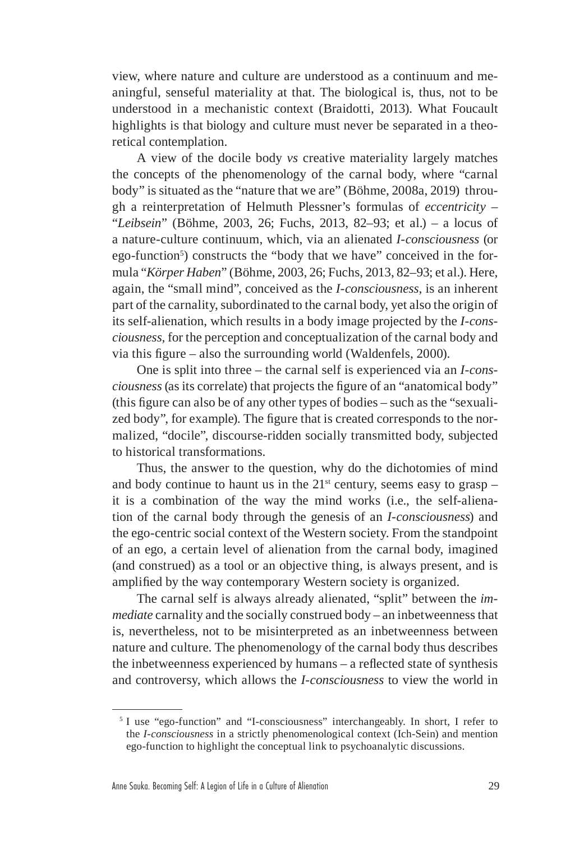view, where nature and culture are understood as a continuum and meaningful, senseful materiality at that. The biological is, thus, not to be understood in a mechanistic context (Braidotti, 2013). What Foucault highlights is that biology and culture must never be separated in a theoretical contemplation.

A view of the docile body *vs* creative materiality largely matches the concepts of the phenomenology of the carnal body, where "carnal body" is situated as the "nature that we are" (Böhme, 2008a, 2019) through a reinterpretation of Helmuth Plessner's formulas of *eccentricity* – "*Leibsein*" (Böhme, 2003, 26; Fuchs, 2013, 82–93; et al.) *–* a locus of a nature-culture continuum, which, via an alienated *I-consciousness* (or ego-function<sup>5</sup>) constructs the "body that we have" conceived in the formula "*Körper Haben*" (Böhme, 2003, 26; Fuchs, 2013, 82–93; et al.). Here, again, the "small mind", conceived as the *I-consciousness,* is an inherent part of the carnality, subordinated to the carnal body, yet also the origin of its self-alienation, which results in a body image projected by the *I-consciousness,* for the perception and conceptualization of the carnal body and via this figure – also the surrounding world (Waldenfels, 2000).

One is split into three – the carnal self is experienced via an *I-consciousness* (as its correlate) that projects the figure of an "anatomical body" (this figure can also be of any other types of bodies – such as the "sexualized body", for example). The figure that is created corresponds to the normalized, "docile", discourse-ridden socially transmitted body, subjected to historical transformations.

Thus, the answer to the question, why do the dichotomies of mind and body continue to haunt us in the  $21^{st}$  century, seems easy to grasp – it is a combination of the way the mind works (i.e., the self-alienation of the carnal body through the genesis of an *I-consciousness*) and the ego-centric social context of the Western society. From the standpoint of an ego, a certain level of alienation from the carnal body, imagined (and construed) as a tool or an objective thing, is always present, and is amplified by the way contemporary Western society is organized.

The carnal self is always already alienated, "split" between the *immediate* carnality and the socially construed body – an inbetweenness that is, nevertheless, not to be misinterpreted as an inbetweenness between nature and culture. The phenomenology of the carnal body thus describes the inbetweenness experienced by humans – a reflected state of synthesis and controversy, which allows the *I-consciousness* to view the world in

<sup>&</sup>lt;sup>5</sup> I use "ego-function" and "I-consciousness" interchangeably. In short, I refer to the *I-consciousness* in a strictly phenomenological context (Ich-Sein) and mention ego-function to highlight the conceptual link to psychoanalytic discussions.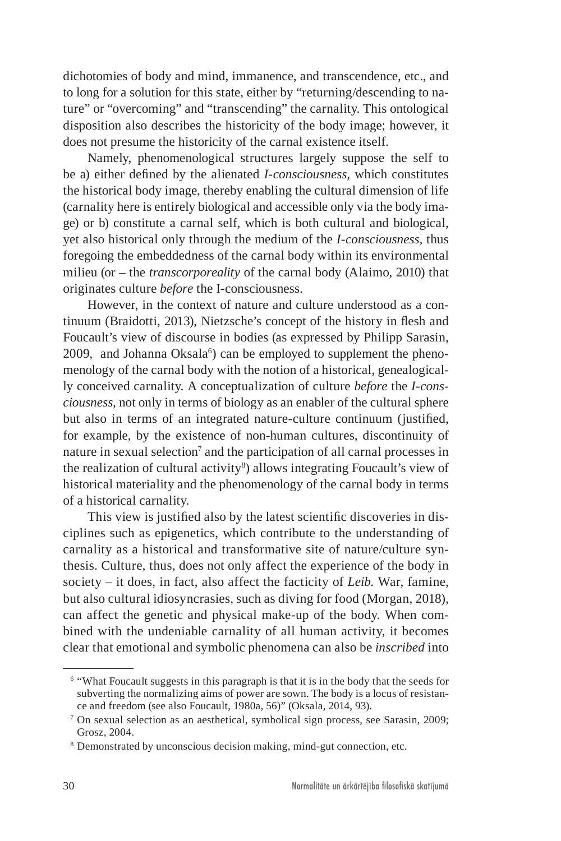dichotomies of body and mind, immanence, and transcendence, etc., and to long for a solution for this state, either by "returning/descending to nature" or "overcoming" and "transcending" the carnality. This ontological disposition also describes the historicity of the body image; however, it does not presume the historicity of the carnal existence itself.

Namely, phenomenological structures largely suppose the self to be a) either defined by the alienated *I-consciousness,* which constitutes the historical body image, thereby enabling the cultural dimension of life (carnality here is entirely biological and accessible only via the body image) or b) constitute a carnal self, which is both cultural and biological, yet also historical only through the medium of the *I-consciousness,* thus foregoing the embeddedness of the carnal body within its environmental milieu (or – the *transcorporeality* of the carnal body (Alaimo, 2010) that originates culture *before* the I-consciousness.

However, in the context of nature and culture understood as a continuum (Braidotti, 2013), Nietzsche's concept of the history in flesh and Foucault's view of discourse in bodies (as expressed by Philipp Sarasin,  $2009$ , and Johanna Oksala $6$ ) can be employed to supplement the phenomenology of the carnal body with the notion of a historical, genealogically conceived carnality. A conceptualization of culture *before* the *I-consciousness,* not only in terms of biology as an enabler of the cultural sphere but also in terms of an integrated nature-culture continuum (justified, for example, by the existence of non-human cultures, discontinuity of nature in sexual selection<sup>7</sup> and the participation of all carnal processes in the realization of cultural activity<sup>8</sup>) allows integrating Foucault's view of historical materiality and the phenomenology of the carnal body in terms of a historical carnality.

This view is justified also by the latest scientific discoveries in disciplines such as epigenetics, which contribute to the understanding of carnality as a historical and transformative site of nature/culture synthesis. Culture, thus, does not only affect the experience of the body in society – it does, in fact, also affect the facticity of *Leib.* War, famine, but also cultural idiosyncrasies, such as diving for food (Morgan, 2018), can affect the genetic and physical make-up of the body. When combined with the undeniable carnality of all human activity, it becomes clear that emotional and symbolic phenomena can also be *inscribed* into

<sup>6</sup> "What Foucault suggests in this paragraph is that it is in the body that the seeds for subverting the normalizing aims of power are sown. The body is a locus of resistance and freedom (see also Foucault, 1980a, 56)" (Oksala, 2014, 93).

<sup>7</sup> On sexual selection as an aesthetical, symbolical sign process, see Sarasin, 2009; Grosz, 2004.

<sup>&</sup>lt;sup>8</sup> Demonstrated by unconscious decision making, mind-gut connection, etc.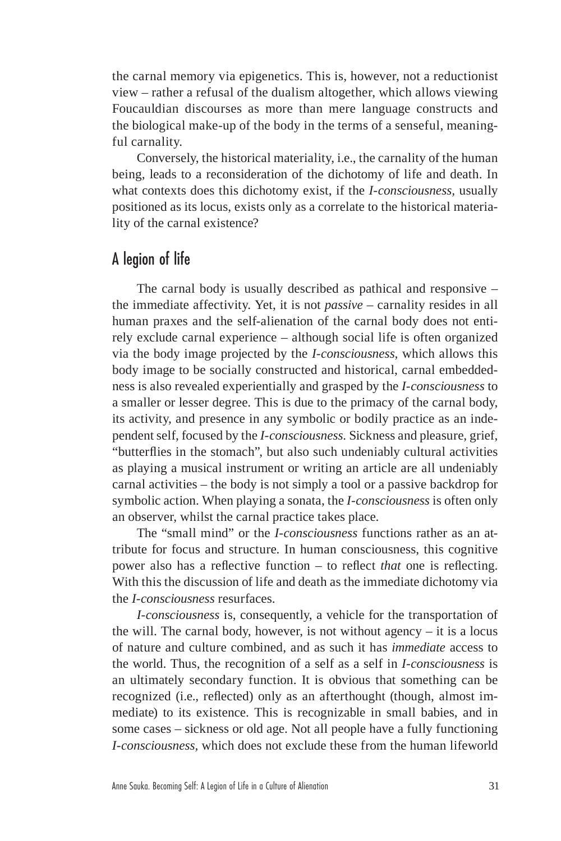the carnal memory via epigenetics. This is, however, not a reductionist view – rather a refusal of the dualism altogether, which allows viewing Foucauldian discourses as more than mere language constructs and the biological make-up of the body in the terms of a senseful, meaningful carnality.

Conversely, the historical materiality, i.e., the carnality of the human being, leads to a reconsideration of the dichotomy of life and death. In what contexts does this dichotomy exist, if the *I-consciousness,* usually positioned as its locus, exists only as a correlate to the historical materiality of the carnal existence?

# A legion of life

The carnal body is usually described as pathical and responsive – the immediate affectivity. Yet, it is not *passive –* carnality resides in all human praxes and the self-alienation of the carnal body does not entirely exclude carnal experience – although social life is often organized via the body image projected by the *I-consciousness,* which allows this body image to be socially constructed and historical, carnal embeddedness is also revealed experientially and grasped by the *I-consciousness* to a smaller or lesser degree. This is due to the primacy of the carnal body, its activity, and presence in any symbolic or bodily practice as an independent self, focused by the *I-consciousness.* Sickness and pleasure, grief, "butterflies in the stomach", but also such undeniably cultural activities as playing a musical instrument or writing an article are all undeniably carnal activities – the body is not simply a tool or a passive backdrop for symbolic action. When playing a sonata, the *I-consciousness* is often only an observer, whilst the carnal practice takes place.

The "small mind" or the *I-consciousness* functions rather as an attribute for focus and structure. In human consciousness, this cognitive power also has a reflective function – to reflect *that* one is reflecting. With this the discussion of life and death as the immediate dichotomy via the *I-consciousness* resurfaces.

*I-consciousness* is, consequently, a vehicle for the transportation of the will. The carnal body, however, is not without agency  $-$  it is a locus of nature and culture combined, and as such it has *immediate* access to the world. Thus, the recognition of a self as a self in *I-consciousness* is an ultimately secondary function. It is obvious that something can be recognized (i.e., reflected) only as an afterthought (though, almost immediate) to its existence. This is recognizable in small babies, and in some cases – sickness or old age. Not all people have a fully functioning *I-consciousness,* which does not exclude these from the human lifeworld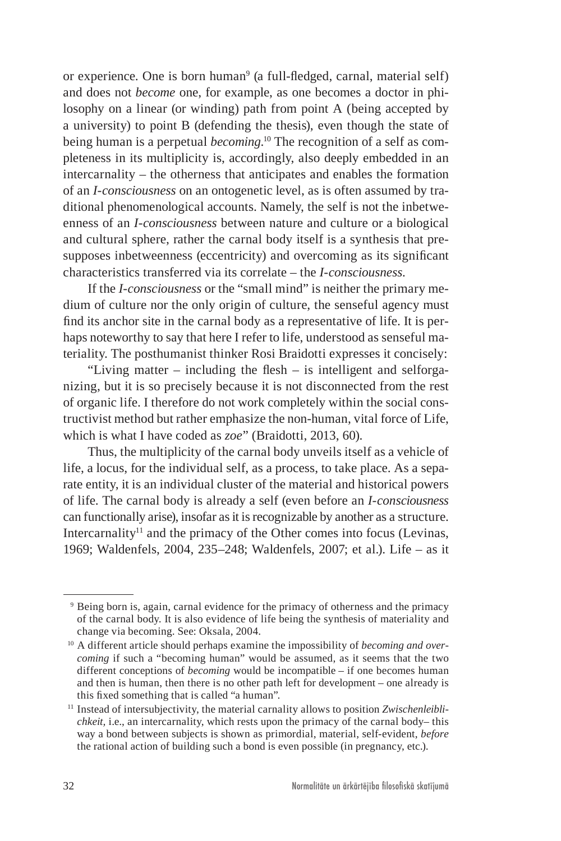or experience. One is born human<sup>9</sup> (a full-fledged, carnal, material self) and does not *become* one, for example, as one becomes a doctor in philosophy on a linear (or winding) path from point A (being accepted by a university) to point B (defending the thesis), even though the state of being human is a perpetual *becoming*. 10 The recognition of a self as completeness in its multiplicity is, accordingly, also deeply embedded in an intercarnality – the otherness that anticipates and enables the formation of an *I-consciousness* on an ontogenetic level, as is often assumed by traditional phenomenological accounts. Namely, the self is not the inbetweenness of an *I-consciousness* between nature and culture or a biological and cultural sphere, rather the carnal body itself is a synthesis that presupposes inbetweenness (eccentricity) and overcoming as its significant characteristics transferred via its correlate – the *I-consciousness.*

If the *I-consciousness* or the "small mind" is neither the primary medium of culture nor the only origin of culture, the senseful agency must find its anchor site in the carnal body as a representative of life. It is perhaps noteworthy to say that here I refer to life, understood as senseful materiality. The posthumanist thinker Rosi Braidotti expresses it concisely:

"Living matter  $-$  including the flesh  $-$  is intelligent and selforganizing, but it is so precisely because it is not disconnected from the rest of organic life. I therefore do not work completely within the social constructivist method but rather emphasize the non-human, vital force of Life, which is what I have coded as *zoe*" (Braidotti, 2013, 60).

Thus, the multiplicity of the carnal body unveils itself as a vehicle of life, a locus, for the individual self, as a process, to take place. As a separate entity, it is an individual cluster of the material and historical powers of life. The carnal body is already a self (even before an *I-consciousness*  can functionally arise), insofar as it is recognizable by another as a structure. Intercarnality<sup>11</sup> and the primacy of the Other comes into focus (Levinas, 1969; Waldenfels, 2004, 235–248; Waldenfels, 2007; et al.). Life – as it

<sup>&</sup>lt;sup>9</sup> Being born is, again, carnal evidence for the primacy of otherness and the primacy of the carnal body. It is also evidence of life being the synthesis of materiality and change via becoming. See: Oksala, 2004.

<sup>10</sup> A different article should perhaps examine the impossibility of *becoming and overcoming* if such a "becoming human" would be assumed, as it seems that the two different conceptions of *becoming* would be incompatible – if one becomes human and then is human, then there is no other path left for development – one already is this fixed something that is called "a human".

<sup>&</sup>lt;sup>11</sup> Instead of intersubjectivity, the material carnality allows to position *Zwischenleiblichkeit,* i.e., an intercarnality, which rests upon the primacy of the carnal body– this way a bond between subjects is shown as primordial, material, self-evident, *before* the rational action of building such a bond is even possible (in pregnancy, etc.).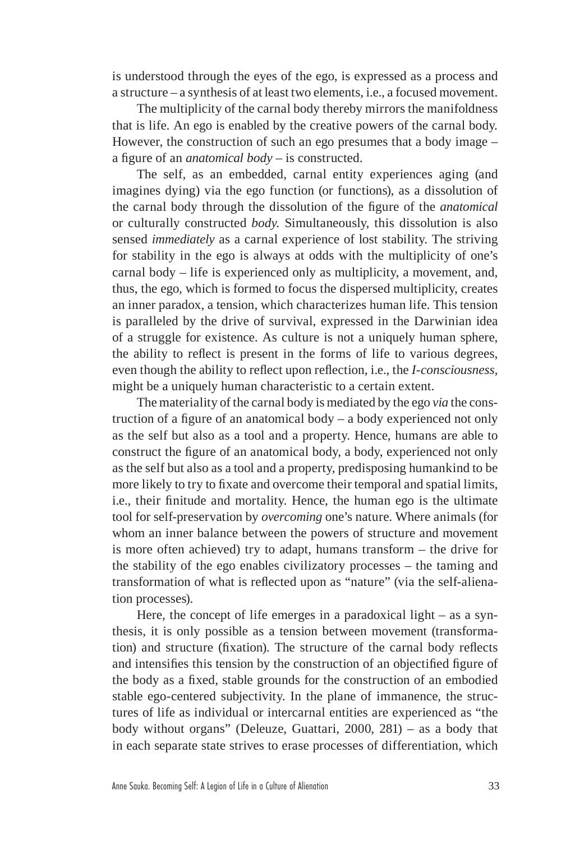is understood through the eyes of the ego, is expressed as a process and a structure – a synthesis of at least two elements, i.e., a focused movement.

The multiplicity of the carnal body thereby mirrors the manifoldness that is life. An ego is enabled by the creative powers of the carnal body*.*  However, the construction of such an ego presumes that a body image – a figure of an *anatomical body –* is constructed.

The self, as an embedded, carnal entity experiences aging (and imagines dying) via the ego function (or functions)*,* as a dissolution of the carnal body through the dissolution of the figure of the *anatomical*  or culturally constructed *body.* Simultaneously, this dissolution is also sensed *immediately* as a carnal experience of lost stability. The striving for stability in the ego is always at odds with the multiplicity of one's carnal body *–* life is experienced only as multiplicity, a movement, and, thus, the ego*,* which is formed to focus the dispersed multiplicity, creates an inner paradox, a tension, which characterizes human life. This tension is paralleled by the drive of survival, expressed in the Darwinian idea of a struggle for existence. As culture is not a uniquely human sphere, the ability to reflect is present in the forms of life to various degrees, even though the ability to reflect upon reflection, i.e., the *I-consciousness,*  might be a uniquely human characteristic to a certain extent.

The materiality of the carnal body is mediated by the ego *via* the construction of a figure of an anatomical body – a body experienced not only as the self but also as a tool and a property. Hence, humans are able to construct the figure of an anatomical body, a body, experienced not only as the self but also as a tool and a property, predisposing humankind to be more likely to try to fixate and overcome their temporal and spatial limits, i.e., their finitude and mortality. Hence, the human ego is the ultimate tool for self-preservation by *overcoming* one's nature. Where animals (for whom an inner balance between the powers of structure and movement is more often achieved) try to adapt, humans transform – the drive for the stability of the ego enables civilizatory processes – the taming and transformation of what is reflected upon as "nature" (via the self-alienation processes).

Here, the concept of life emerges in a paradoxical light – as a synthesis, it is only possible as a tension between movement (transformation) and structure (fixation). The structure of the carnal body reflects and intensifies this tension by the construction of an objectified figure of the body as a fixed, stable grounds for the construction of an embodied stable ego-centered subjectivity. In the plane of immanence, the structures of life as individual or intercarnal entities are experienced as "the body without organs" (Deleuze, Guattari, 2000, 281) – as a body that in each separate state strives to erase processes of differentiation, which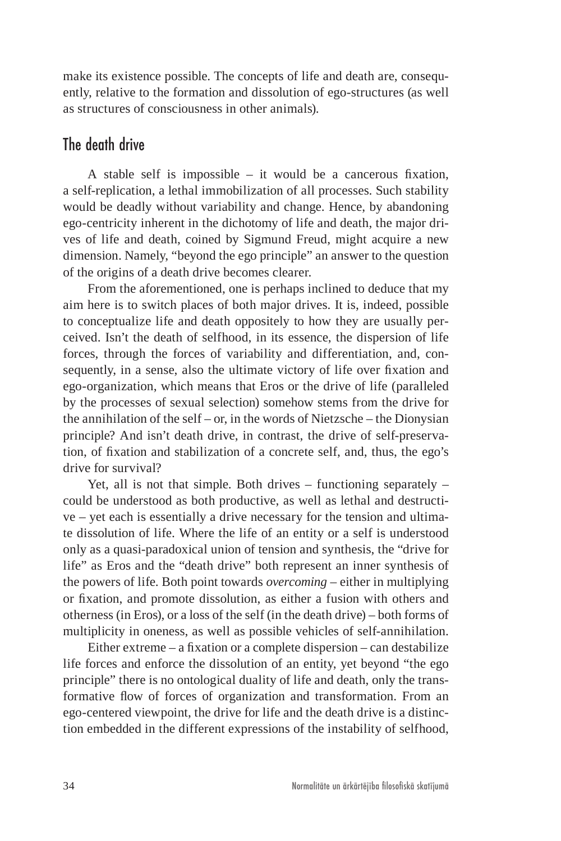make its existence possible. The concepts of life and death are, consequently, relative to the formation and dissolution of ego-structures (as well as structures of consciousness in other animals).

### The death drive

A stable self is impossible – it would be a cancerous fixation, a self-replication, a lethal immobilization of all processes. Such stability would be deadly without variability and change. Hence, by abandoning ego-centricity inherent in the dichotomy of life and death, the major drives of life and death, coined by Sigmund Freud, might acquire a new dimension. Namely, "beyond the ego principle" an answer to the question of the origins of a death drive becomes clearer.

From the aforementioned, one is perhaps inclined to deduce that my aim here is to switch places of both major drives. It is, indeed, possible to conceptualize life and death oppositely to how they are usually perceived. Isn't the death of selfhood, in its essence, the dispersion of life forces, through the forces of variability and differentiation, and, consequently, in a sense, also the ultimate victory of life over fixation and ego-organization, which means that Eros or the drive of life (paralleled by the processes of sexual selection) somehow stems from the drive for the annihilation of the self – or, in the words of Nietzsche – the Dionysian principle? And isn't death drive, in contrast, the drive of self-preservation, of fixation and stabilization of a concrete self, and, thus, the ego's drive for survival?

Yet, all is not that simple. Both drives  $-$  functioning separately  $$ could be understood as both productive, as well as lethal and destructive – yet each is essentially a drive necessary for the tension and ultimate dissolution of life. Where the life of an entity or a self is understood only as a quasi-paradoxical union of tension and synthesis, the "drive for life" as Eros and the "death drive" both represent an inner synthesis of the powers of life. Both point towards *overcoming* – either in multiplying or fixation, and promote dissolution, as either a fusion with others and otherness (in Eros), or a loss of the self (in the death drive) – both forms of multiplicity in oneness, as well as possible vehicles of self-annihilation.

Either extreme – a fixation or a complete dispersion – can destabilize life forces and enforce the dissolution of an entity, yet beyond "the ego principle" there is no ontological duality of life and death, only the transformative flow of forces of organization and transformation. From an ego-centered viewpoint, the drive for life and the death drive is a distinction embedded in the different expressions of the instability of selfhood,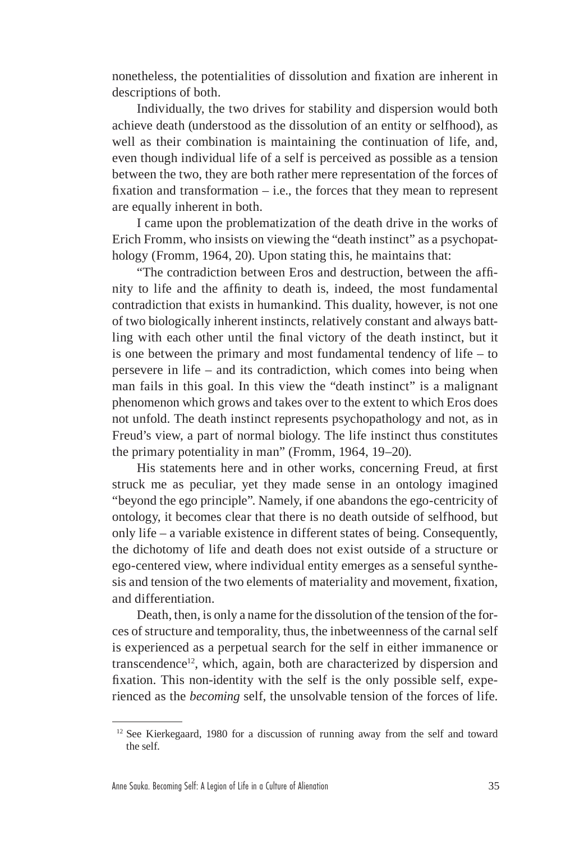nonetheless, the potentialities of dissolution and fixation are inherent in descriptions of both.

Individually, the two drives for stability and dispersion would both achieve death (understood as the dissolution of an entity or selfhood), as well as their combination is maintaining the continuation of life, and, even though individual life of a self is perceived as possible as a tension between the two, they are both rather mere representation of the forces of fixation and transformation  $-$  i.e., the forces that they mean to represent are equally inherent in both.

I came upon the problematization of the death drive in the works of Erich Fromm, who insists on viewing the "death instinct" as a psychopathology (Fromm, 1964, 20). Upon stating this, he maintains that:

"The contradiction between Eros and destruction, between the affinity to life and the affinity to death is, indeed, the most fundamental contradiction that exists in humankind. This duality, however, is not one of two biologically inherent instincts, relatively constant and always battling with each other until the final victory of the death instinct, but it is one between the primary and most fundamental tendency of life – to persevere in life – and its contradiction, which comes into being when man fails in this goal. In this view the "death instinct" is a malignant phenomenon which grows and takes over to the extent to which Eros does not unfold. The death instinct represents psychopathology and not, as in Freud's view, a part of normal biology. The life instinct thus constitutes the primary potentiality in man" (Fromm, 1964, 19–20).

His statements here and in other works, concerning Freud, at first struck me as peculiar, yet they made sense in an ontology imagined "beyond the ego principle". Namely, if one abandons the ego-centricity of ontology, it becomes clear that there is no death outside of selfhood, but only life – a variable existence in different states of being. Consequently, the dichotomy of life and death does not exist outside of a structure or ego-centered view, where individual entity emerges as a senseful synthesis and tension of the two elements of materiality and movement, fixation, and differentiation.

Death, then, is only a name for the dissolution of the tension of the forces of structure and temporality, thus, the inbetweenness of the carnal self is experienced as a perpetual search for the self in either immanence or transcendence<sup>12</sup>, which, again, both are characterized by dispersion and fixation. This non-identity with the self is the only possible self, experienced as the *becoming* self, the unsolvable tension of the forces of life.

<sup>&</sup>lt;sup>12</sup> See Kierkegaard, 1980 for a discussion of running away from the self and toward the self.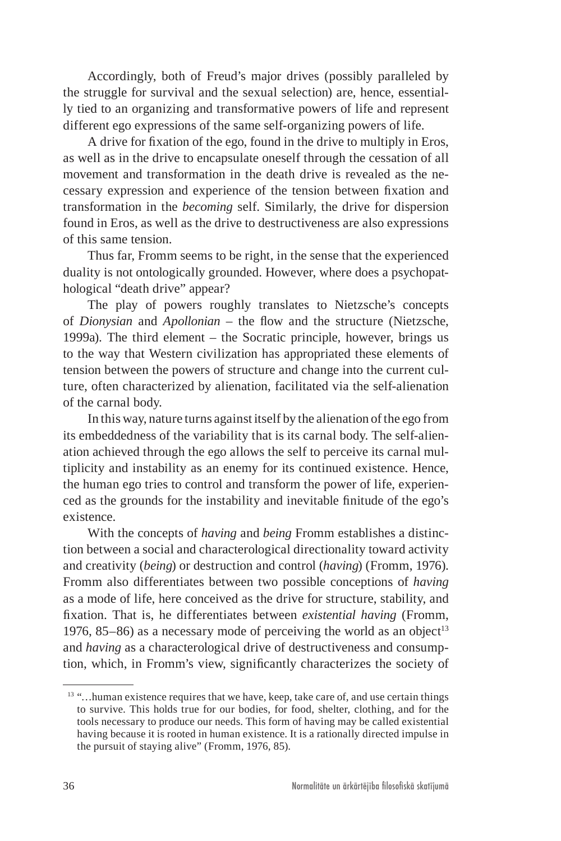Accordingly, both of Freud's major drives (possibly paralleled by the struggle for survival and the sexual selection) are, hence, essentially tied to an organizing and transformative powers of life and represent different ego expressions of the same self-organizing powers of life.

A drive for fixation of the ego, found in the drive to multiply in Eros, as well as in the drive to encapsulate oneself through the cessation of all movement and transformation in the death drive is revealed as the necessary expression and experience of the tension between fixation and transformation in the *becoming* self. Similarly, the drive for dispersion found in Eros, as well as the drive to destructiveness are also expressions of this same tension.

Thus far, Fromm seems to be right, in the sense that the experienced duality is not ontologically grounded. However, where does a psychopathological "death drive" appear?

The play of powers roughly translates to Nietzsche's concepts of *Dionysian* and *Apollonian* – the flow and the structure (Nietzsche, 1999a). The third element – the Socratic principle, however, brings us to the way that Western civilization has appropriated these elements of tension between the powers of structure and change into the current culture, often characterized by alienation, facilitated via the self-alienation of the carnal body.

In this way, nature turns against itself by the alienation of the ego from its embeddedness of the variability that is its carnal body. The self-alienation achieved through the ego allows the self to perceive its carnal multiplicity and instability as an enemy for its continued existence. Hence, the human ego tries to control and transform the power of life, experienced as the grounds for the instability and inevitable finitude of the ego's existence.

With the concepts of *having* and *being* Fromm establishes a distinction between a social and characterological directionality toward activity and creativity (*being*) or destruction and control (*having*) (Fromm, 1976). Fromm also differentiates between two possible conceptions of *having*  as a mode of life, here conceived as the drive for structure, stability, and fixation. That is, he differentiates between *existential having* (Fromm, 1976, 85–86) as a necessary mode of perceiving the world as an object<sup>13</sup> and *having* as a characterological drive of destructiveness and consumption, which, in Fromm's view, significantly characterizes the society of

 $13$  "... human existence requires that we have, keep, take care of, and use certain things to survive. This holds true for our bodies, for food, shelter, clothing, and for the tools necessary to produce our needs. This form of having may be called existential having because it is rooted in human existence. It is a rationally directed impulse in the pursuit of staying alive" (Fromm, 1976, 85).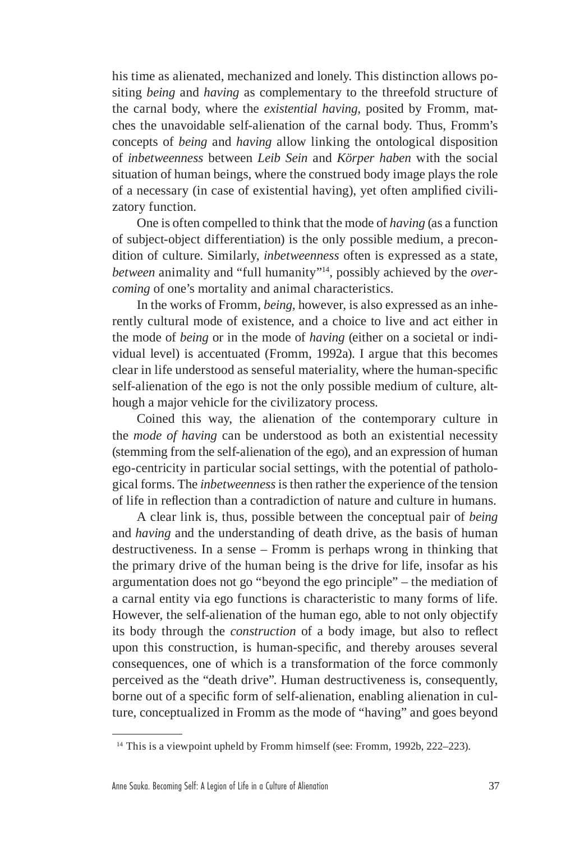his time as alienated, mechanized and lonely. This distinction allows positing *being* and *having* as complementary to the threefold structure of the carnal body, where the *existential having,* posited by Fromm, matches the unavoidable self-alienation of the carnal body. Thus, Fromm's concepts of *being* and *having* allow linking the ontological disposition of *inbetweenness* between *Leib Sein* and *Körper haben* with the social situation of human beings, where the construed body image plays the role of a necessary (in case of existential having), yet often amplified civilizatory function*.*

One is often compelled to think that the mode of *having* (as a function of subject-object differentiation) is the only possible medium, a precondition of culture. Similarly, *inbetweenness* often is expressed as a state, *between* animality and "full humanity"14, possibly achieved by the *overcoming* of one's mortality and animal characteristics.

In the works of Fromm, *being,* however, is also expressed as an inherently cultural mode of existence, and a choice to live and act either in the mode of *being* or in the mode of *having* (either on a societal or individual level) is accentuated (Fromm, 1992a). I argue that this becomes clear in life understood as senseful materiality, where the human-specific self-alienation of the ego is not the only possible medium of culture, although a major vehicle for the civilizatory process.

Coined this way, the alienation of the contemporary culture in the *mode of having* can be understood as both an existential necessity (stemming from the self-alienation of the ego), and an expression of human ego-centricity in particular social settings, with the potential of pathological forms. The *inbetweenness* is then rather the experience of the tension of life in reflection than a contradiction of nature and culture in humans.

A clear link is, thus, possible between the conceptual pair of *being*  and *having* and the understanding of death drive, as the basis of human destructiveness. In a sense – Fromm is perhaps wrong in thinking that the primary drive of the human being is the drive for life, insofar as his argumentation does not go "beyond the ego principle" – the mediation of a carnal entity via ego functions is characteristic to many forms of life. However, the self-alienation of the human ego*,* able to not only objectify its body through the *construction* of a body image, but also to reflect upon this construction, is human-specific, and thereby arouses several consequences, one of which is a transformation of the force commonly perceived as the "death drive". Human destructiveness is, consequently, borne out of a specific form of self-alienation, enabling alienation in culture, conceptualized in Fromm as the mode of "having" and goes beyond

<sup>&</sup>lt;sup>14</sup> This is a viewpoint upheld by Fromm himself (see: Fromm, 1992b, 222–223).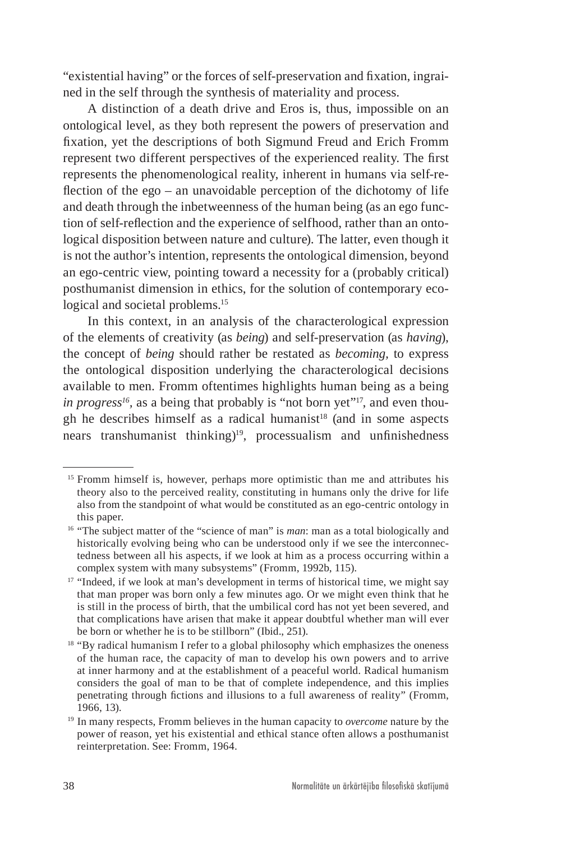"existential having" or the forces of self-preservation and fixation, ingrained in the self through the synthesis of materiality and process.

A distinction of a death drive and Eros is, thus, impossible on an ontological level, as they both represent the powers of preservation and fixation, yet the descriptions of both Sigmund Freud and Erich Fromm represent two different perspectives of the experienced reality. The first represents the phenomenological reality, inherent in humans via self-reflection of the ego – an unavoidable perception of the dichotomy of life and death through the inbetweenness of the human being (as an ego function of self-reflection and the experience of selfhood, rather than an ontological disposition between nature and culture). The latter, even though it is not the author's intention, represents the ontological dimension, beyond an ego-centric view, pointing toward a necessity for a (probably critical) posthumanist dimension in ethics, for the solution of contemporary ecological and societal problems.<sup>15</sup>

In this context, in an analysis of the characterological expression of the elements of creativity (as *being*) and self-preservation (as *having*), the concept of *being* should rather be restated as *becoming,* to express the ontological disposition underlying the characterological decisions available to men. Fromm oftentimes highlights human being as a being *in progress<sup>16</sup>,* as a being that probably is "not born yet"17, and even though he describes himself as a radical humanist<sup>18</sup> (and in some aspects nears transhumanist thinking)19, processualism and unfinishedness

<sup>15</sup> Fromm himself is, however, perhaps more optimistic than me and attributes his theory also to the perceived reality, constituting in humans only the drive for life also from the standpoint of what would be constituted as an ego-centric ontology in this paper.

<sup>&</sup>lt;sup>16</sup> "The subject matter of the "science of man" is *man*: man as a total biologically and historically evolving being who can be understood only if we see the interconnectedness between all his aspects, if we look at him as a process occurring within a complex system with many subsystems" (Fromm, 1992b, 115).

<sup>&</sup>lt;sup>17</sup> "Indeed, if we look at man's development in terms of historical time, we might say that man proper was born only a few minutes ago. Or we might even think that he is still in the process of birth, that the umbilical cord has not yet been severed, and that complications have arisen that make it appear doubtful whether man will ever be born or whether he is to be stillborn" (Ibid., 251).

 $18$  "By radical humanism I refer to a global philosophy which emphasizes the oneness of the human race, the capacity of man to develop his own powers and to arrive at inner harmony and at the establishment of a peaceful world. Radical humanism considers the goal of man to be that of complete independence, and this implies penetrating through fictions and illusions to a full awareness of reality" (Fromm, 1966, 13).

<sup>19</sup> In many respects, Fromm believes in the human capacity to *overcome* nature by the power of reason, yet his existential and ethical stance often allows a posthumanist reinterpretation. See: Fromm, 1964.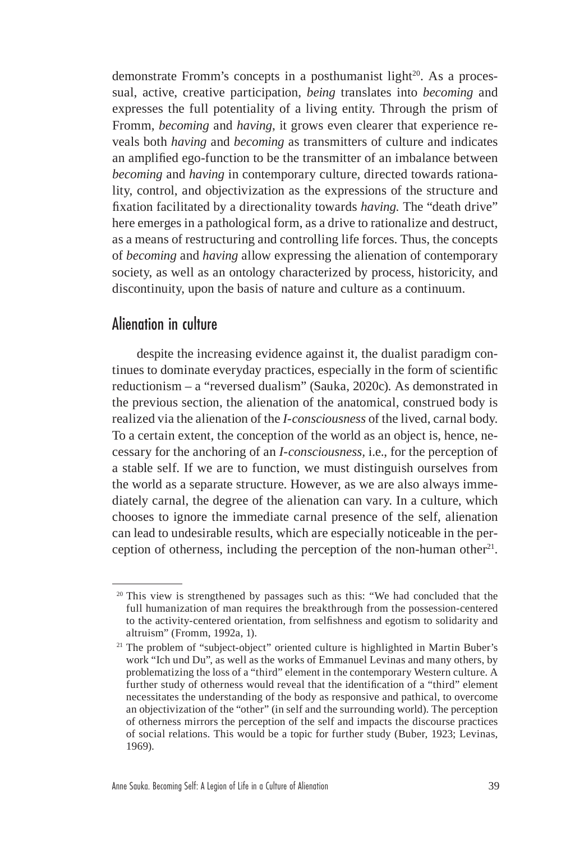demonstrate Fromm's concepts in a posthumanist light<sup>20</sup>. As a processual, active, creative participation, *being* translates into *becoming* and expresses the full potentiality of a living entity. Through the prism of Fromm, *becoming* and *having*, it grows even clearer that experience reveals both *having* and *becoming* as transmitters of culture and indicates an amplified ego-function to be the transmitter of an imbalance between *becoming* and *having* in contemporary culture, directed towards rationality, control, and objectivization as the expressions of the structure and fixation facilitated by a directionality towards *having.* The "death drive" here emerges in a pathological form, as a drive to rationalize and destruct, as a means of restructuring and controlling life forces. Thus, the concepts of *becoming* and *having* allow expressing the alienation of contemporary society, as well as an ontology characterized by process, historicity, and discontinuity, upon the basis of nature and culture as a continuum.

## Alienation in culture

despite the increasing evidence against it, the dualist paradigm continues to dominate everyday practices, especially in the form of scientific reductionism – a "reversed dualism" (Sauka, 2020c). As demonstrated in the previous section, the alienation of the anatomical, construed body is realized via the alienation of the *I-consciousness* of the lived, carnal body. To a certain extent, the conception of the world as an object is, hence, necessary for the anchoring of an *I-consciousness,* i.e., for the perception of a stable self. If we are to function, we must distinguish ourselves from the world as a separate structure. However, as we are also always immediately carnal, the degree of the alienation can vary. In a culture, which chooses to ignore the immediate carnal presence of the self, alienation can lead to undesirable results, which are especially noticeable in the perception of otherness, including the perception of the non-human other<sup>21</sup>.

<sup>&</sup>lt;sup>20</sup> This view is strengthened by passages such as this: "We had concluded that the full humanization of man requires the breakthrough from the possession-centered to the activity-centered orientation, from selfishness and egotism to solidarity and altruism" (Fromm, 1992a, 1).

<sup>&</sup>lt;sup>21</sup> The problem of "subject-object" oriented culture is highlighted in Martin Buber's work "Ich und Du", as well as the works of Emmanuel Levinas and many others, by problematizing the loss of a "third" element in the contemporary Western culture. A further study of otherness would reveal that the identification of a "third" element necessitates the understanding of the body as responsive and pathical, to overcome an objectivization of the "other" (in self and the surrounding world). The perception of otherness mirrors the perception of the self and impacts the discourse practices of social relations. This would be a topic for further study (Buber, 1923; Levinas, 1969).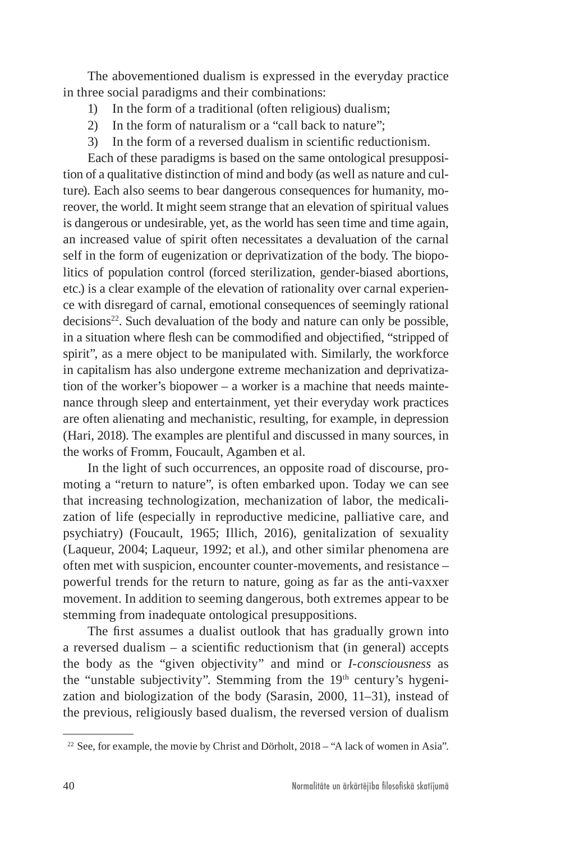The abovementioned dualism is expressed in the everyday practice in three social paradigms and their combinations:

- 1) In the form of a traditional (often religious) dualism;
- 2) In the form of naturalism or a "call back to nature";
- 3) In the form of a reversed dualism in scientific reductionism.

Each of these paradigms is based on the same ontological presupposition of a qualitative distinction of mind and body (as well as nature and culture). Each also seems to bear dangerous consequences for humanity, moreover, the world. It might seem strange that an elevation of spiritual values is dangerous or undesirable, yet, as the world has seen time and time again, an increased value of spirit often necessitates a devaluation of the carnal self in the form of eugenization or deprivatization of the body. The biopolitics of population control (forced sterilization, gender-biased abortions, etc.) is a clear example of the elevation of rationality over carnal experience with disregard of carnal, emotional consequences of seemingly rational decisions<sup>22</sup>. Such devaluation of the body and nature can only be possible, in a situation where flesh can be commodified and objectified, "stripped of spirit", as a mere object to be manipulated with. Similarly, the workforce in capitalism has also undergone extreme mechanization and deprivatization of the worker's biopower – a worker is a machine that needs maintenance through sleep and entertainment, yet their everyday work practices are often alienating and mechanistic, resulting, for example, in depression (Hari, 2018). The examples are plentiful and discussed in many sources, in the works of Fromm, Foucault, Agamben et al.

In the light of such occurrences, an opposite road of discourse, promoting a "return to nature", is often embarked upon. Today we can see that increasing technologization, mechanization of labor, the medicalization of life (especially in reproductive medicine, palliative care, and psychiatry) (Foucault, 1965; Illich, 2016), genitalization of sexuality (Laqueur, 2004; Laqueur, 1992; et al.), and other similar phenomena are often met with suspicion, encounter counter-movements, and resistance – powerful trends for the return to nature, going as far as the anti-vaxxer movement. In addition to seeming dangerous, both extremes appear to be stemming from inadequate ontological presuppositions.

The first assumes a dualist outlook that has gradually grown into a reversed dualism – a scientific reductionism that (in general) accepts the body as the "given objectivity" and mind or *I-consciousness* as the "unstable subjectivity". Stemming from the 19<sup>th</sup> century's hygenization and biologization of the body (Sarasin, 2000, 11–31), instead of the previous, religiously based dualism, the reversed version of dualism

<sup>&</sup>lt;sup>22</sup> See, for example, the movie by Christ and Dörholt, 2018 – "A lack of women in Asia".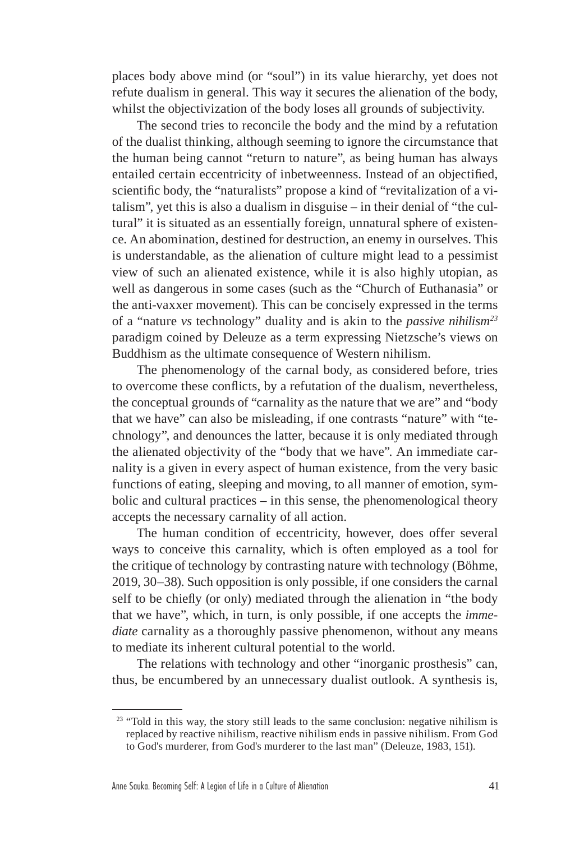places body above mind (or "soul") in its value hierarchy, yet does not refute dualism in general. This way it secures the alienation of the body, whilst the objectivization of the body loses all grounds of subjectivity.

The second tries to reconcile the body and the mind by a refutation of the dualist thinking, although seeming to ignore the circumstance that the human being cannot "return to nature", as being human has always entailed certain eccentricity of inbetweenness. Instead of an objectified, scientific body, the "naturalists" propose a kind of "revitalization of a vitalism", yet this is also a dualism in disguise – in their denial of "the cultural" it is situated as an essentially foreign, unnatural sphere of existence. An abomination, destined for destruction, an enemy in ourselves. This is understandable, as the alienation of culture might lead to a pessimist view of such an alienated existence, while it is also highly utopian, as well as dangerous in some cases (such as the "Church of Euthanasia" or the anti-vaxxer movement). This can be concisely expressed in the terms of a "nature *vs* technology" duality and is akin to the *passive nihilism23* paradigm coined by Deleuze as a term expressing Nietzsche's views on Buddhism as the ultimate consequence of Western nihilism.

The phenomenology of the carnal body, as considered before, tries to overcome these conflicts, by a refutation of the dualism, nevertheless, the conceptual grounds of "carnality as the nature that we are" and "body that we have" can also be misleading, if one contrasts "nature" with "technology", and denounces the latter, because it is only mediated through the alienated objectivity of the "body that we have". An immediate carnality is a given in every aspect of human existence, from the very basic functions of eating, sleeping and moving, to all manner of emotion, symbolic and cultural practices – in this sense, the phenomenological theory accepts the necessary carnality of all action.

The human condition of eccentricity, however, does offer several ways to conceive this carnality, which is often employed as a tool for the critique of technology by contrasting nature with technology (Böhme, 2019, 30–38). Such opposition is only possible, if one considers the carnal self to be chiefly (or only) mediated through the alienation in "the body that we have", which, in turn, is only possible, if one accepts the *immediate* carnality as a thoroughly passive phenomenon, without any means to mediate its inherent cultural potential to the world.

The relations with technology and other "inorganic prosthesis" can, thus, be encumbered by an unnecessary dualist outlook. A synthesis is,

 $23$  "Told in this way, the story still leads to the same conclusion: negative nihilism is replaced by reactive nihilism, reactive nihilism ends in passive nihilism. From God to God's murderer, from God's murderer to the last man" (Deleuze, 1983, 151).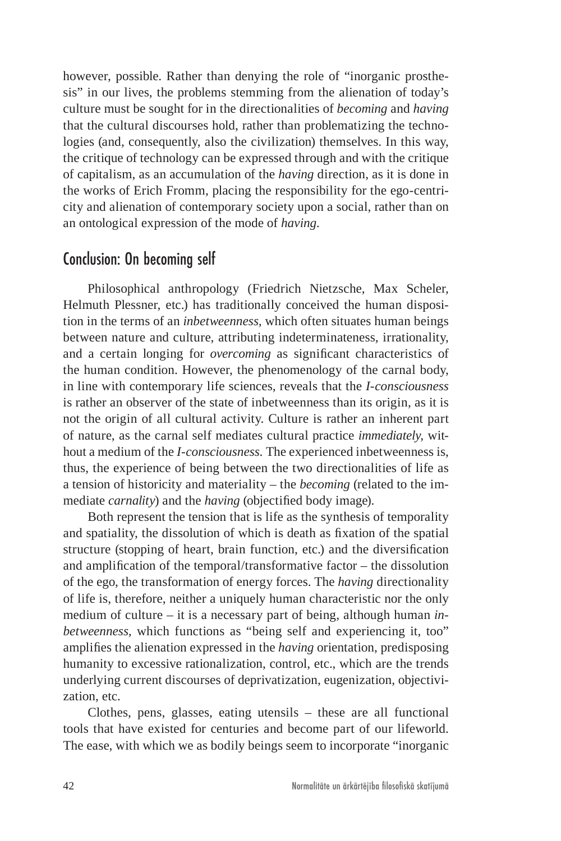however, possible. Rather than denying the role of "inorganic prosthesis" in our lives, the problems stemming from the alienation of today's culture must be sought for in the directionalities of *becoming* and *having*  that the cultural discourses hold, rather than problematizing the technologies (and, consequently, also the civilization) themselves. In this way, the critique of technology can be expressed through and with the critique of capitalism, as an accumulation of the *having* direction, as it is done in the works of Erich Fromm, placing the responsibility for the ego-centricity and alienation of contemporary society upon a social, rather than on an ontological expression of the mode of *having*.

### Conclusion: On becoming self

Philosophical anthropology (Friedrich Nietzsche, Max Scheler, Helmuth Plessner, etc.) has traditionally conceived the human disposition in the terms of an *inbetweenness,* which often situates human beings between nature and culture, attributing indeterminateness, irrationality, and a certain longing for *overcoming* as significant characteristics of the human condition. However, the phenomenology of the carnal body, in line with contemporary life sciences, reveals that the *I-consciousness*  is rather an observer of the state of inbetweenness than its origin, as it is not the origin of all cultural activity. Culture is rather an inherent part of nature, as the carnal self mediates cultural practice *immediately,* without a medium of the *I-consciousness.* The experienced inbetweenness is, thus, the experience of being between the two directionalities of life as a tension of historicity and materiality – the *becoming* (related to the immediate *carnality*) and the *having* (objectified body image).

Both represent the tension that is life as the synthesis of temporality and spatiality, the dissolution of which is death as fixation of the spatial structure (stopping of heart, brain function, etc.) and the diversification and amplification of the temporal/transformative factor – the dissolution of the ego, the transformation of energy forces. The *having* directionality of life is, therefore, neither a uniquely human characteristic nor the only medium of culture – it is a necessary part of being, although human *inbetweenness,* which functions as "being self and experiencing it, too" amplifies the alienation expressed in the *having* orientation, predisposing humanity to excessive rationalization, control, etc., which are the trends underlying current discourses of deprivatization, eugenization, objectivization, etc.

Clothes, pens, glasses, eating utensils – these are all functional tools that have existed for centuries and become part of our lifeworld. The ease, with which we as bodily beings seem to incorporate "inorganic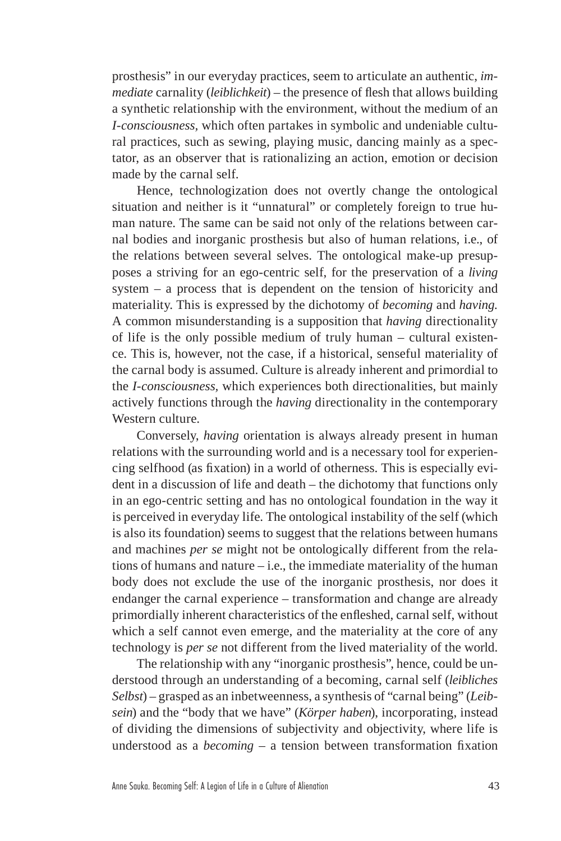prosthesis" in our everyday practices, seem to articulate an authentic, *immediate* carnality (*leiblichkeit*) – the presence of flesh that allows building a synthetic relationship with the environment, without the medium of an *I-consciousness,* which often partakes in symbolic and undeniable cultural practices, such as sewing, playing music, dancing mainly as a spectator, as an observer that is rationalizing an action, emotion or decision made by the carnal self.

Hence, technologization does not overtly change the ontological situation and neither is it "unnatural" or completely foreign to true human nature. The same can be said not only of the relations between carnal bodies and inorganic prosthesis but also of human relations, i.e., of the relations between several selves. The ontological make-up presupposes a striving for an ego-centric self, for the preservation of a *living* system – a process that is dependent on the tension of historicity and materiality. This is expressed by the dichotomy of *becoming* and *having.*  A common misunderstanding is a supposition that *having* directionality of life is the only possible medium of truly human – cultural existence. This is, however, not the case, if a historical, senseful materiality of the carnal body is assumed. Culture is already inherent and primordial to the *I-consciousness,* which experiences both directionalities, but mainly actively functions through the *having* directionality in the contemporary Western culture.

Conversely, *having* orientation is always already present in human relations with the surrounding world and is a necessary tool for experiencing selfhood (as fixation) in a world of otherness. This is especially evident in a discussion of life and death – the dichotomy that functions only in an ego-centric setting and has no ontological foundation in the way it is perceived in everyday life. The ontological instability of the self (which is also its foundation) seems to suggest that the relations between humans and machines *per se* might not be ontologically different from the relations of humans and nature – i.e., the immediate materiality of the human body does not exclude the use of the inorganic prosthesis, nor does it endanger the carnal experience – transformation and change are already primordially inherent characteristics of the enfleshed, carnal self, without which a self cannot even emerge, and the materiality at the core of any technology is *per se* not different from the lived materiality of the world.

The relationship with any "inorganic prosthesis", hence, could be understood through an understanding of a becoming, carnal self (*leibliches Selbst*) – grasped as an inbetweenness, a synthesis of "carnal being" (*Leibsein*) and the "body that we have" (*Körper haben*), incorporating, instead of dividing the dimensions of subjectivity and objectivity, where life is understood as a *becoming* – a tension between transformation fixation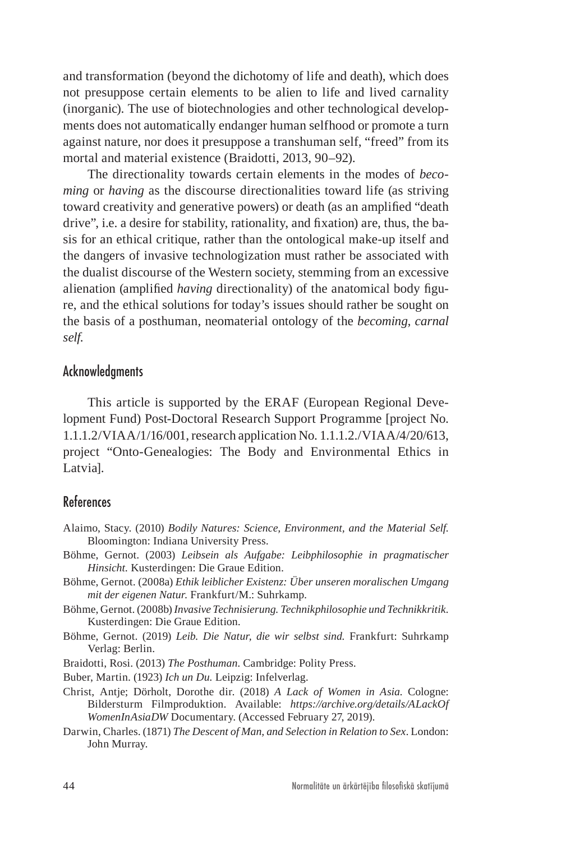and transformation (beyond the dichotomy of life and death), which does not presuppose certain elements to be alien to life and lived carnality (inorganic). The use of biotechnologies and other technological developments does not automatically endanger human selfhood or promote a turn against nature, nor does it presuppose a transhuman self, "freed" from its mortal and material existence (Braidotti, 2013, 90–92).

The directionality towards certain elements in the modes of *becoming* or *having* as the discourse directionalities toward life (as striving toward creativity and generative powers) or death (as an amplified "death drive", i.e. a desire for stability, rationality, and fixation) are, thus, the basis for an ethical critique, rather than the ontological make-up itself and the dangers of invasive technologization must rather be associated with the dualist discourse of the Western society, stemming from an excessive alienation (amplified *having* directionality) of the anatomical body figure, and the ethical solutions for today's issues should rather be sought on the basis of a posthuman, neomaterial ontology of the *becoming, carnal self.*

#### Acknowledgments

This article is supported by the ERAF (European Regional Development Fund) Post-Doctoral Research Support Programme [project No. 1.1.1.2/VIAA/1/16/001, research application No. 1.1.1.2./VIAA/4/20/613, project "Onto-Genealogies: The Body and Environmental Ethics in Latvia].

#### **References**

- Alaimo, Stacy. (2010) *Bodily Natures: Science, Environment, and the Material Self.* Bloomington: Indiana University Press.
- Böhme, Gernot. (2003) *[Leibsein als Aufgabe: Leibphilosophie in pragmatischer](http://www.amazon.de/gp/product/3906336387)  [Hinsicht](http://www.amazon.de/gp/product/3906336387).* Kusterdingen: Die Graue Edition.
- Böhme, Gernot. (2008a) *[Ethik leiblicher Existenz: Über unseren moralischen Umgang](http://www.amazon.de/gp/product/3518294806)  [mit der eigenen Natur](http://www.amazon.de/gp/product/3518294806).* Frankfurt/M.: Suhrkamp.
- Böhme, Gernot. (2008b) *Invasive Technisierung. Technikphilosophie und Technikkritik.*  Kusterdingen: Die Graue Edition.
- Böhme, Gernot. (2019) *Leib. Die Natur, die wir selbst sind.* Frankfurt: Suhrkamp Verlag: Berlin.
- Braidotti, Rosi. (2013) *The Posthuman*. Cambridge: Polity Press.

Buber, Martin. (1923) *Ich un Du.* Leipzig: Infelverlag.

- Christ, Antje; Dörholt, Dorothe dir. (2018) *A Lack of Women in Asia*. Cologne: Bildersturm Filmproduktion. Available: *[https://archive.org/details/ALackOf](https://archive.org/details/ALackOfWomenInAsiaDW)  [WomenInAsiaDW](https://archive.org/details/ALackOfWomenInAsiaDW)* Documentary. (Accessed February 27, 2019).
- Darwin, Charles. (1871) *The Descent of Man, and Selection in Relation to Sex*. London: John Murray.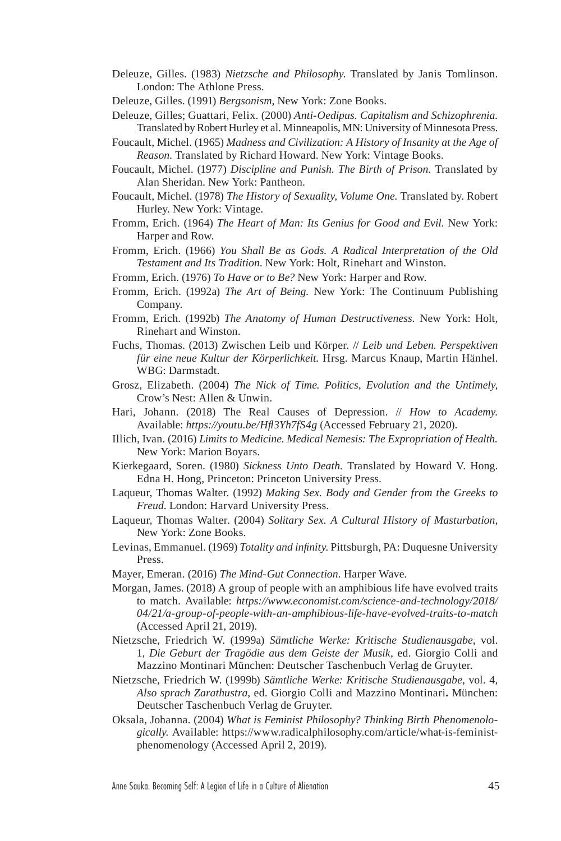- Deleuze, Gilles. (1983) *Nietzsche and Philosophy*. Translated by Janis Tomlinson. London: The Athlone Press.
- Deleuze, Gilles. (1991) *Bergsonism,* New York: Zone Books.
- Deleuze, Gilles; Guattari, Felix. (2000) *Anti-Oedipus. Capitalism and Schizophrenia.* Translated by Robert Hurley et al. Minneapolis, MN: University of Minnesota Press.
- Foucault, Michel. (1965) *Madness and Civilization: A History of Insanity at the Age of Reason.* Translated by Richard Howard. New York: Vintage Books.
- Foucault, Michel. (1977) *Discipline and Punish. The Birth of Prison.* Translated by Alan Sheridan. New York: Pantheon.
- Foucault, Michel. (1978) *The History of Sexuality, Volume One.* Translated by. Robert Hurley. New York: Vintage.
- Fromm, Erich. (1964) *The Heart of Man: Its Genius for Good and Evil.* New York: Harper and Row.
- Fromm, Erich. (1966) *You Shall Be as Gods. A Radical Interpretation of the Old Testament and Its Tradition*. New York: Holt, Rinehart and Winston.
- Fromm, Erich. (1976) *To Have or to Be?* New York: Harper and Row.
- Fromm, Erich. (1992a) *The Art of Being.* New York: The Continuum Publishing Company.
- Fromm, Erich. (1992b) *The Anatomy of Human Destructiveness.* New York: Holt, Rinehart and Winston.
- Fuchs, Thomas. (2013) Zwischen Leib und Körper*.* // *Leib und Leben. Perspektiven für eine neue Kultur der Körperlichkeit.* Hrsg. Marcus Knaup, Martin Hänhel. WBG: Darmstadt.
- Grosz, Elizabeth. (2004) *The Nick of Time. Politics, Evolution and the Untimely,*  Crow's Nest: Allen & Unwin.
- Hari, Johann. (2018) The Real Causes of Depression. // *How to Academy.* Available: *<https://youtu.be/Hfl3Yh7fS4g>* (Accessed February 21, 2020).
- Illich, Ivan. (2016) *Limits to Medicine. Medical Nemesis: The Expropriation of Health.*  New York: Marion Boyars.
- Kierkegaard, Soren. (1980) *Sickness Unto Death.* Translated by Howard V. Hong. Edna H. Hong, Princeton: Princeton University Press.
- Laqueur, Thomas Walter. (1992) *Making Sex. Body and Gender from the Greeks to Freud*. London: Harvard University Press.
- Laqueur, Thomas Walter. (2004) *Solitary Sex. A Cultural History of Masturbation,*  New York: Zone Books.
- Levinas, Emmanuel. (1969) *Totality and infinity*. Pittsburgh, PA: Duquesne University Press.
- Mayer, Emeran. (2016) *The Mind-Gut Connection.* Harper Wave.
- Morgan, James. (2018) A group of people with an amphibious life have evolved traits to match. Available: *[https://www.economist.com/science-and-technology/2018/](https://www.economist.com/science-and-technology/2018/04/21/a-group-of-people-with-an-amphibious-life-have-evolved-traits-to-match)  [04/21/a-group-of-people-with-an-amphibious-life-have-evolved-traits-to-match](https://www.economist.com/science-and-technology/2018/04/21/a-group-of-people-with-an-amphibious-life-have-evolved-traits-to-match)* (Accessed April 21, 2019).
- Nietzsche, Friedrich W. (1999a) *Sämtliche Werke: Kritische Studienausgabe*, vol. 1, *Die Geburt der Tragödie aus dem Geiste der Musik*, ed. Giorgio Colli and Mazzino Montinari München: Deutscher Taschenbuch Verlag de Gruyter.
- Nietzsche, Friedrich W. (1999b) *Sämtliche Werke: Kritische Studienausgabe*, vol. 4, *Also sprach Zarathustra*, ed. Giorgio Colli and Mazzino Montinari**.** München: Deutscher Taschenbuch Verlag de Gruyter.
- Oksala, Johanna. (2004) *What is Feminist Philosophy? Thinking Birth Phenomenologically.* Available: [https://www.radicalphilosophy.com/article/what-is-feminist](https://www.radicalphilosophy.com/article/what-is-feminist-phenomenology)[phenomenology](https://www.radicalphilosophy.com/article/what-is-feminist-phenomenology) (Accessed April 2, 2019).